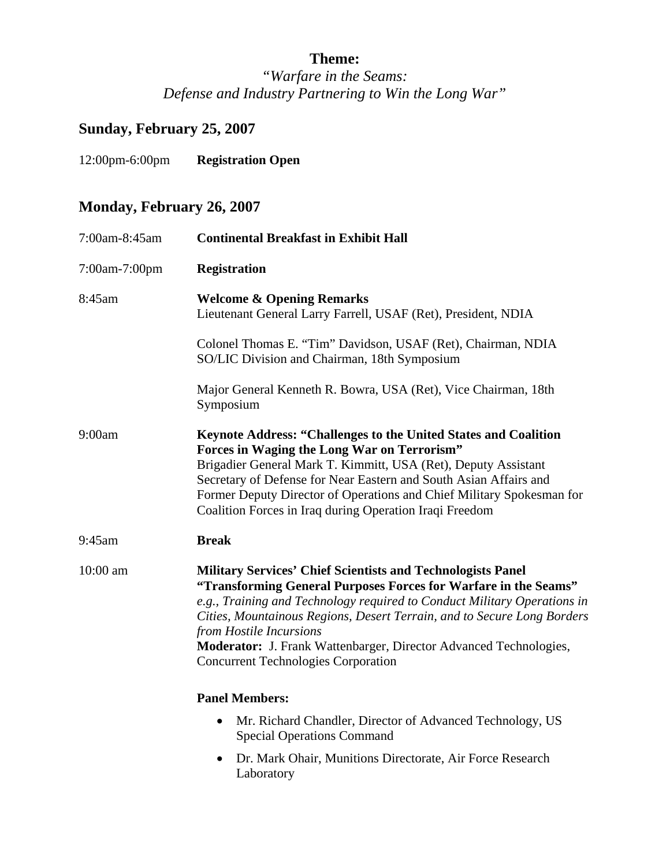## **Theme:**

*"Warfare in the Seams: Defense and Industry Partnering to Win the Long War"* 

## **Sunday, February 25, 2007**

12:00pm-6:00pm **Registration Open** 

## **Monday, February 26, 2007**

| 7:00am-8:45am | <b>Continental Breakfast in Exhibit Hall</b>                                                                                                                                                                                                                                                                                                                                                                                               |
|---------------|--------------------------------------------------------------------------------------------------------------------------------------------------------------------------------------------------------------------------------------------------------------------------------------------------------------------------------------------------------------------------------------------------------------------------------------------|
| 7:00am-7:00pm | <b>Registration</b>                                                                                                                                                                                                                                                                                                                                                                                                                        |
| 8:45am        | <b>Welcome &amp; Opening Remarks</b><br>Lieutenant General Larry Farrell, USAF (Ret), President, NDIA                                                                                                                                                                                                                                                                                                                                      |
|               | Colonel Thomas E. "Tim" Davidson, USAF (Ret), Chairman, NDIA<br>SO/LIC Division and Chairman, 18th Symposium                                                                                                                                                                                                                                                                                                                               |
|               | Major General Kenneth R. Bowra, USA (Ret), Vice Chairman, 18th<br>Symposium                                                                                                                                                                                                                                                                                                                                                                |
| 9:00am        | <b>Keynote Address: "Challenges to the United States and Coalition</b><br>Forces in Waging the Long War on Terrorism"<br>Brigadier General Mark T. Kimmitt, USA (Ret), Deputy Assistant<br>Secretary of Defense for Near Eastern and South Asian Affairs and<br>Former Deputy Director of Operations and Chief Military Spokesman for<br>Coalition Forces in Iraq during Operation Iraqi Freedom                                           |
| 9:45am        | <b>Break</b>                                                                                                                                                                                                                                                                                                                                                                                                                               |
| 10:00 am      | <b>Military Services' Chief Scientists and Technologists Panel</b><br>"Transforming General Purposes Forces for Warfare in the Seams"<br>e.g., Training and Technology required to Conduct Military Operations in<br>Cities, Mountainous Regions, Desert Terrain, and to Secure Long Borders<br>from Hostile Incursions<br>Moderator: J. Frank Wattenbarger, Director Advanced Technologies,<br><b>Concurrent Technologies Corporation</b> |
|               | <b>Panel Members:</b>                                                                                                                                                                                                                                                                                                                                                                                                                      |
|               | Mr. Richard Chandler, Director of Advanced Technology, US<br>$\bullet$<br><b>Special Operations Command</b>                                                                                                                                                                                                                                                                                                                                |
|               | Dr. Mark Ohair, Munitions Directorate, Air Force Research<br>$\bullet$<br>Laboratory                                                                                                                                                                                                                                                                                                                                                       |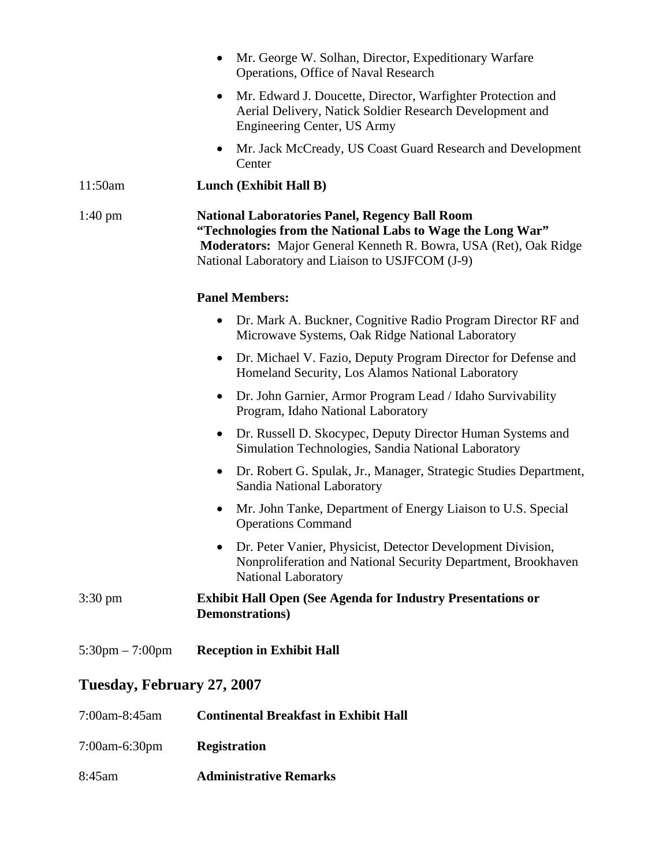|                                   | Mr. George W. Solhan, Director, Expeditionary Warfare<br>$\bullet$<br>Operations, Office of Naval Research                                                                                                                                  |
|-----------------------------------|---------------------------------------------------------------------------------------------------------------------------------------------------------------------------------------------------------------------------------------------|
|                                   | Mr. Edward J. Doucette, Director, Warfighter Protection and<br>$\bullet$<br>Aerial Delivery, Natick Soldier Research Development and<br>Engineering Center, US Army                                                                         |
|                                   | Mr. Jack McCready, US Coast Guard Research and Development<br>$\bullet$<br>Center                                                                                                                                                           |
| 11:50am                           | Lunch (Exhibit Hall B)                                                                                                                                                                                                                      |
| $1:40 \text{ pm}$                 | <b>National Laboratories Panel, Regency Ball Room</b><br>"Technologies from the National Labs to Wage the Long War"<br>Moderators: Major General Kenneth R. Bowra, USA (Ret), Oak Ridge<br>National Laboratory and Liaison to USJFCOM (J-9) |
|                                   | <b>Panel Members:</b>                                                                                                                                                                                                                       |
|                                   | Dr. Mark A. Buckner, Cognitive Radio Program Director RF and<br>$\bullet$<br>Microwave Systems, Oak Ridge National Laboratory                                                                                                               |
|                                   | Dr. Michael V. Fazio, Deputy Program Director for Defense and<br>$\bullet$<br>Homeland Security, Los Alamos National Laboratory                                                                                                             |
|                                   | Dr. John Garnier, Armor Program Lead / Idaho Survivability<br>$\bullet$<br>Program, Idaho National Laboratory                                                                                                                               |
|                                   | Dr. Russell D. Skocypec, Deputy Director Human Systems and<br>$\bullet$<br>Simulation Technologies, Sandia National Laboratory                                                                                                              |
|                                   | Dr. Robert G. Spulak, Jr., Manager, Strategic Studies Department,<br>$\bullet$<br>Sandia National Laboratory                                                                                                                                |
|                                   | Mr. John Tanke, Department of Energy Liaison to U.S. Special<br><b>Operations Command</b>                                                                                                                                                   |
|                                   | Dr. Peter Vanier, Physicist, Detector Development Division,<br>$\bullet$<br>Nonproliferation and National Security Department, Brookhaven<br><b>National Laboratory</b>                                                                     |
| $3:30 \text{ pm}$                 | <b>Exhibit Hall Open (See Agenda for Industry Presentations or</b><br><b>Demonstrations</b> )                                                                                                                                               |
| $5:30 \text{pm} - 7:00 \text{pm}$ | <b>Reception in Exhibit Hall</b>                                                                                                                                                                                                            |
| Tuesday, February 27, 2007        |                                                                                                                                                                                                                                             |
| 7:00am-8:45am                     | <b>Continental Breakfast in Exhibit Hall</b>                                                                                                                                                                                                |
| 7:00am-6:30pm                     | <b>Registration</b>                                                                                                                                                                                                                         |
| 8:45am                            | <b>Administrative Remarks</b>                                                                                                                                                                                                               |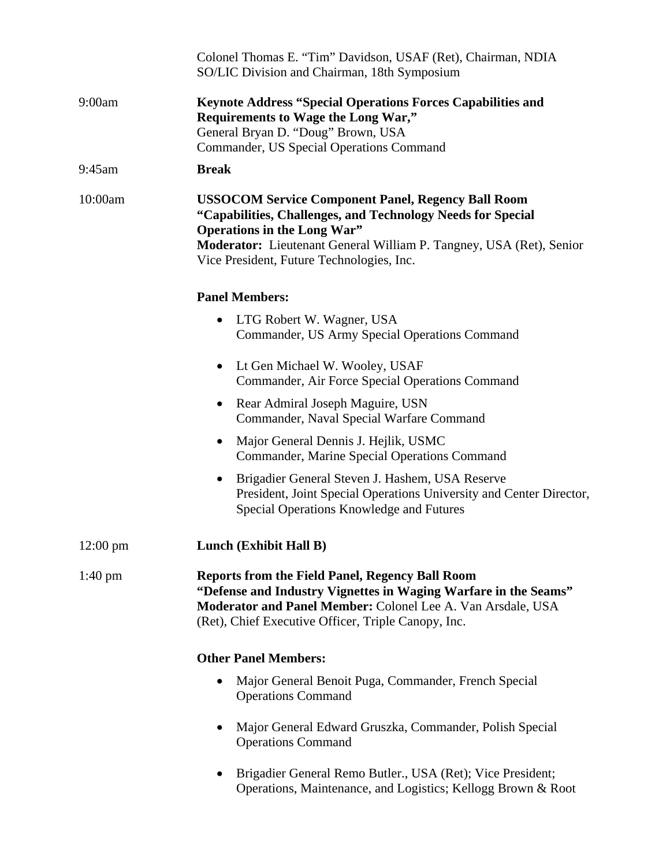|                   | Colonel Thomas E. "Tim" Davidson, USAF (Ret), Chairman, NDIA<br>SO/LIC Division and Chairman, 18th Symposium                                                                                                                                                                       |
|-------------------|------------------------------------------------------------------------------------------------------------------------------------------------------------------------------------------------------------------------------------------------------------------------------------|
| 9:00am            | <b>Keynote Address "Special Operations Forces Capabilities and</b><br>Requirements to Wage the Long War,"<br>General Bryan D. "Doug" Brown, USA<br>Commander, US Special Operations Command                                                                                        |
| 9:45am            | <b>Break</b>                                                                                                                                                                                                                                                                       |
| 10:00am           | <b>USSOCOM Service Component Panel, Regency Ball Room</b><br>"Capabilities, Challenges, and Technology Needs for Special<br><b>Operations in the Long War"</b><br>Moderator: Lieutenant General William P. Tangney, USA (Ret), Senior<br>Vice President, Future Technologies, Inc. |
|                   | <b>Panel Members:</b>                                                                                                                                                                                                                                                              |
|                   | LTG Robert W. Wagner, USA<br>$\bullet$<br>Commander, US Army Special Operations Command                                                                                                                                                                                            |
|                   | Lt Gen Michael W. Wooley, USAF<br>$\bullet$<br>Commander, Air Force Special Operations Command                                                                                                                                                                                     |
|                   | Rear Admiral Joseph Maguire, USN<br>Commander, Naval Special Warfare Command                                                                                                                                                                                                       |
|                   | Major General Dennis J. Hejlik, USMC<br>$\bullet$<br>Commander, Marine Special Operations Command                                                                                                                                                                                  |
|                   | Brigadier General Steven J. Hashem, USA Reserve<br>$\bullet$<br>President, Joint Special Operations University and Center Director,<br>Special Operations Knowledge and Futures                                                                                                    |
| 12:00 pm          | Lunch (Exhibit Hall B)                                                                                                                                                                                                                                                             |
| $1:40 \text{ pm}$ | <b>Reports from the Field Panel, Regency Ball Room</b><br>"Defense and Industry Vignettes in Waging Warfare in the Seams"<br>Moderator and Panel Member: Colonel Lee A. Van Arsdale, USA<br>(Ret), Chief Executive Officer, Triple Canopy, Inc.                                    |
|                   | <b>Other Panel Members:</b>                                                                                                                                                                                                                                                        |
|                   | Major General Benoit Puga, Commander, French Special<br><b>Operations Command</b>                                                                                                                                                                                                  |
|                   | Major General Edward Gruszka, Commander, Polish Special<br><b>Operations Command</b>                                                                                                                                                                                               |
|                   | Brigadier General Remo Butler., USA (Ret); Vice President;<br>$\bullet$<br>Operations, Maintenance, and Logistics; Kellogg Brown & Root                                                                                                                                            |